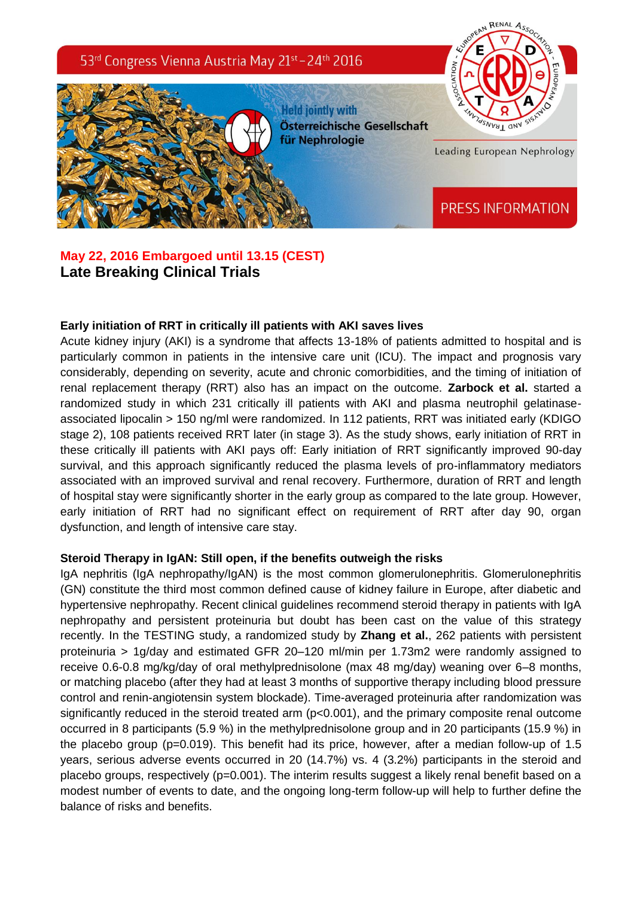

RENAL

# **May 22, 2016 Embargoed until 13.15 (CEST) Late Breaking Clinical Trials**

### **Early initiation of RRT in critically ill patients with AKI saves lives**

Acute kidney injury (AKI) is a syndrome that affects 13-18% of patients admitted to hospital and is particularly common in patients in the intensive care unit (ICU). The impact and prognosis vary considerably, depending on severity, acute and chronic comorbidities, and the timing of initiation of renal replacement therapy (RRT) also has an impact on the outcome. **Zarbock et al.** started a randomized study in which 231 critically ill patients with AKI and plasma neutrophil gelatinaseassociated lipocalin > 150 ng/ml were randomized. In 112 patients, RRT was initiated early (KDIGO stage 2), 108 patients received RRT later (in stage 3). As the study shows, early initiation of RRT in these critically ill patients with AKI pays off: Early initiation of RRT significantly improved 90-day survival, and this approach significantly reduced the plasma levels of pro-inflammatory mediators associated with an improved survival and renal recovery. Furthermore, duration of RRT and length of hospital stay were significantly shorter in the early group as compared to the late group. However, early initiation of RRT had no significant effect on requirement of RRT after day 90, organ dysfunction, and length of intensive care stay.

#### **Steroid Therapy in IgAN: Still open, if the benefits outweigh the risks**

IgA nephritis (IgA nephropathy/IgAN) is the most common glomerulonephritis. Glomerulonephritis (GN) constitute the third most common defined cause of kidney failure in Europe, after diabetic and hypertensive nephropathy. Recent clinical guidelines recommend steroid therapy in patients with IgA nephropathy and persistent proteinuria but doubt has been cast on the value of this strategy recently. In the TESTING study, a randomized study by **Zhang et al.**, 262 patients with persistent proteinuria > 1g/day and estimated GFR 20–120 ml/min per 1.73m2 were randomly assigned to receive 0.6-0.8 mg/kg/day of oral methylprednisolone (max 48 mg/day) weaning over 6–8 months, or matching placebo (after they had at least 3 months of supportive therapy including blood pressure control and renin-angiotensin system blockade). Time-averaged proteinuria after randomization was significantly reduced in the steroid treated arm ( $p<0.001$ ), and the primary composite renal outcome occurred in 8 participants (5.9 %) in the methylprednisolone group and in 20 participants (15.9 %) in the placebo group (p=0.019). This benefit had its price, however, after a median follow-up of 1.5 years, serious adverse events occurred in 20 (14.7%) vs. 4 (3.2%) participants in the steroid and placebo groups, respectively (p=0.001). The interim results suggest a likely renal benefit based on a modest number of events to date, and the ongoing long-term follow-up will help to further define the balance of risks and benefits.